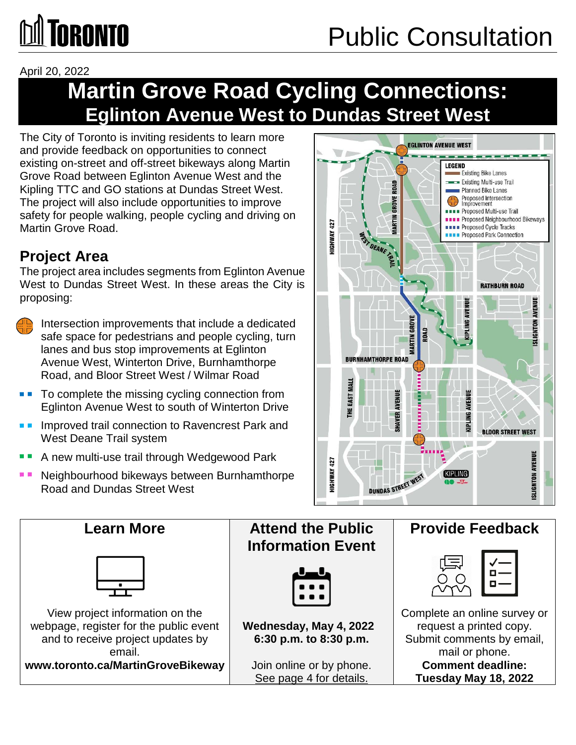# **~TORONTO**

April 20, 2022

### **Eglinton Avenue West to Dundas Street West Martin Grove Road Cycling Connections:**

 and provide feedback on opportunities to connect Grove Road between Eglinton Avenue West and the Kipling TTC and GO stations at Dundas Street West. The City of Toronto is inviting residents to learn more existing on-street and off-street bikeways along Martin The project will also include opportunities to improve safety for people walking, people cycling and driving on Martin Grove Road.

### **Project Area**

 West to Dundas Street West. In these areas the City is The project area includes segments from Eglinton Avenue proposing:

and intersection improvements that include a dedicated<br>safe space for pedestrians and people cycling, turn Intersection improvements that include a dedicated lanes and bus stop improvements at Eglinton Avenue West, Winterton Drive, Burnhamthorpe Road, and Bloor Street West / Wilmar Road

- ■■ To complete the missing cycling connection from **we want of the state of the state of the state of the state of the state of the state of the state of the state of the state of the state of the state of the state of th** Eglinton Avenue West to south of Winterton Drive
- ■■ Improved trail connection to Ravencrest Park and AND AND A THE West Deane Trail system
- ■■ A new multi-use trail through Wedgewood Park | | | | | | | | |
- ■■ ~ **:I=**  Neighbourhood bikeways between Burnhamthorpe Road and Dundas Street West



#### webpage, register for the public event **Nednesday, May 4, 2022** Request a printed copy. 6:30 p.m. to 8:30 p.m. Join online or by phone.<br>See page 4 for details. View project information on the  $\hphantom{a}$   $\hphantom{a}$ email.  $\qquad \qquad |$  and  $\qquad \qquad |$  and  $\qquad \qquad |$  and  $\qquad \qquad$  mail or phone. and the set information on the set information on the set information on the set of  $\begin{bmatrix} 0 & 0 \\ 0 & 1 \\ 0 & 0 \end{bmatrix}$  $\frac{\sqrt{10}}{200}$ Learn More **Notal Learn More Contract Learn More Research Attend the Public**  Provide Feedback **Information Event**  and to receive project updates by  $\vert$  6:30 p.m. to 8:30 p.m.  $\vert$  Submit comments by email, **www.toronto.ca/MartinGroveBikeway** | Join online or by phone. | Comment deadline: **Tuesday May 18, 2022**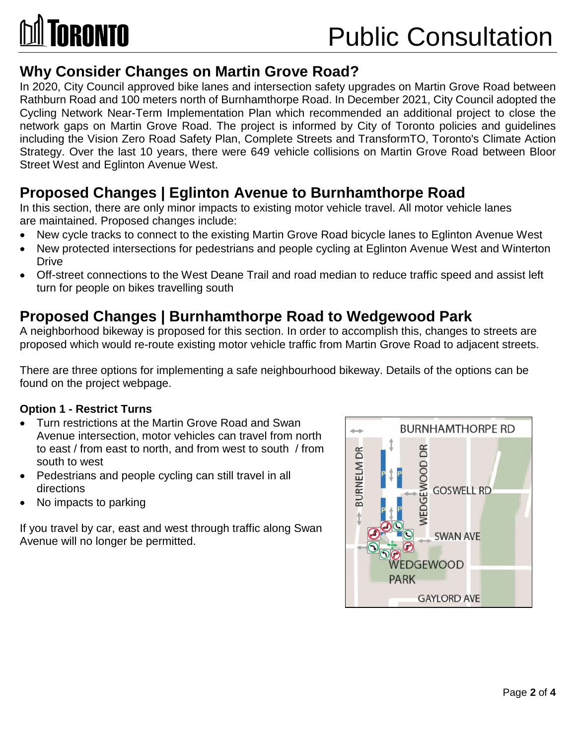

### Public Consultation

#### **Why Consider Changes on Martin Grove Road?**

In 2020, City Council approved bike lanes and intersection safety upgrades on Martin Grove Road between Rathburn Road and 100 meters north of Burnhamthorpe Road. In December 2021, City Council adopted the Cycling Network Near-Term Implementation Plan which recommended an additional project to close the network gaps on Martin Grove Road. The project is informed by City of Toronto policies and guidelines including the Vision Zero Road Safety Plan, Complete Streets and TransformTO, Toronto's Climate Action Strategy. Over the last 10 years, there were 649 vehicle collisions on Martin Grove Road between Bloor Street West and Eglinton Avenue West.

#### **Proposed Changes | Eglinton Avenue to Burnhamthorpe Road**

 In this section, there are only minor impacts to existing motor vehicle travel. All motor vehicle lanes are maintained. Proposed changes include:

- New cycle tracks to connect to the existing Martin Grove Road bicycle lanes to Eglinton Avenue West
- New protected intersections for pedestrians and people cycling at Eglinton Avenue West and Winterton **Drive**
- Off-street connections to the West Deane Trail and road median to reduce traffic speed and assist left turn for people on bikes travelling south

#### **Proposed Changes | Burnhamthorpe Road to Wedgewood Park**

A neighborhood bikeway is proposed for this section. In order to accomplish this, changes to streets are proposed which would re-route existing motor vehicle traffic from Martin Grove Road to adjacent streets.

There are three options for implementing a safe neighbourhood bikeway. Details of the options can be found on the project webpage.

#### **Option 1 - Restrict Turns**

- Turn restrictions at the Martin Grove Road and Swan Avenue intersection, motor vehicles can travel from north to east / from east to north, and from west to south / from south to west
- Pedestrians and people cycling can still travel in all directions
- No impacts to parking

If you travel by car, east and west through traffic along Swan Avenue will no longer be permitted.

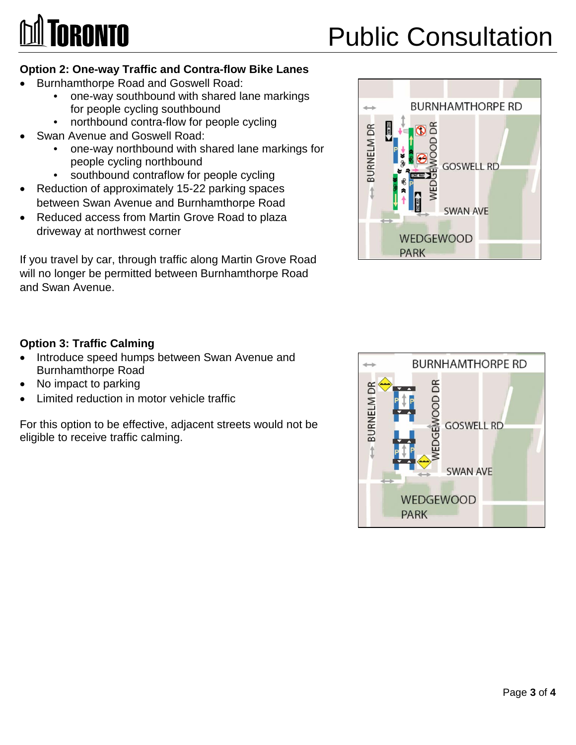# **~TORONTO**

## Public Consultation

#### **Option 2: One-way Traffic and Contra-flow Bike Lanes**

- Burnhamthorpe Road and Goswell Road:
	- one-way southbound with shared lane markings for people cycling southbound
	- northbound contra-flow for people cycling
	- Swan Avenue and Goswell Road:
		- one-way northbound with shared lane markings for people cycling northbound
		- southbound contraflow for people cycling
- Reduction of approximately 15-22 parking spaces between Swan Avenue and Burnhamthorpe Road
- Reduced access from Martin Grove Road to plaza driveway at northwest corner

If you travel by car, through traffic along Martin Grove Road will no longer be permitted between Burnhamthorpe Road and Swan Avenue.

#### **Option 3: Traffic Calming**

- Introduce speed humps between Swan Avenue and Burnhamthorpe Road
- No impact to parking
- Limited reduction in motor vehicle traffic

For this option to be effective, adjacent streets would not be eligible to receive traffic calming.